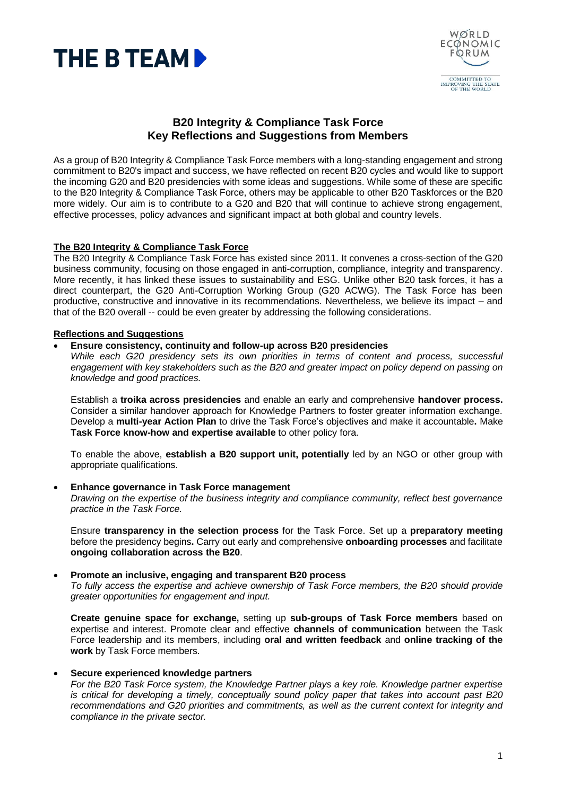



# **B20 Integrity & Compliance Task Force Key Reflections and Suggestions from Members**

As a group of B20 Integrity & Compliance Task Force members with a long-standing engagement and strong commitment to B20's impact and success, we have reflected on recent B20 cycles and would like to support the incoming G20 and B20 presidencies with some ideas and suggestions. While some of these are specific to the B20 Integrity & Compliance Task Force, others may be applicable to other B20 Taskforces or the B20 more widely. Our aim is to contribute to a G20 and B20 that will continue to achieve strong engagement, effective processes, policy advances and significant impact at both global and country levels.

# **The B20 Integrity & Compliance Task Force**

The B20 Integrity & Compliance Task Force has existed since 2011. It convenes a cross-section of the G20 business community, focusing on those engaged in anti-corruption, compliance, integrity and transparency. More recently, it has linked these issues to sustainability and ESG. Unlike other B20 task forces, it has a direct counterpart, the G20 Anti-Corruption Working Group (G20 ACWG). The Task Force has been productive, constructive and innovative in its recommendations. Nevertheless, we believe its impact – and that of the B20 overall -- could be even greater by addressing the following considerations.

# **Reflections and Suggestions**

### • **Ensure consistency, continuity and follow-up across B20 presidencies**

*While each G20 presidency sets its own priorities in terms of content and process, successful engagement with key stakeholders such as the B20 and greater impact on policy depend on passing on knowledge and good practices.*

Establish a **troika across presidencies** and enable an early and comprehensive **handover process.**  Consider a similar handover approach for Knowledge Partners to foster greater information exchange. Develop a **multi-year Action Plan** to drive the Task Force's objectives and make it accountable**.** Make **Task Force know-how and expertise available** to other policy fora.

To enable the above, **establish a B20 support unit, potentially** led by an NGO or other group with appropriate qualifications.

# • **Enhance governance in Task Force management**

*Drawing on the expertise of the business integrity and compliance community, reflect best governance practice in the Task Force.* 

Ensure **transparency in the selection process** for the Task Force. Set up a **preparatory meeting** before the presidency begins**.** Carry out early and comprehensive **onboarding processes** and facilitate **ongoing collaboration across the B20**.

#### • **Promote an inclusive, engaging and transparent B20 process**

*To fully access the expertise and achieve ownership of Task Force members, the B20 should provide greater opportunities for engagement and input.*

**Create genuine space for exchange,** setting up **sub-groups of Task Force members** based on expertise and interest. Promote clear and effective **channels of communication** between the Task Force leadership and its members, including **oral and written feedback** and **online tracking of the work** by Task Force members.

# • **Secure experienced knowledge partners**

*For the B20 Task Force system, the Knowledge Partner plays a key role. Knowledge partner expertise is critical for developing a timely, conceptually sound policy paper that takes into account past B20 recommendations and G20 priorities and commitments, as well as the current context for integrity and compliance in the private sector.*